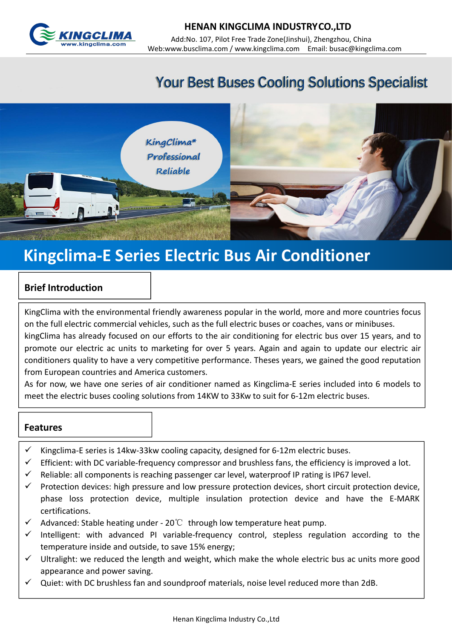

# **Your Best Buses Cooling Solutions Specialist**



# **Kingclima-E Series Electric Bus Air Conditioner**

### **Brief Introduction**

KingClima with the environmental friendly awareness popular in the world, more and more countries focus on the full electric commercial vehicles, such as the full electric buses or coaches, vans or minibuses.

kingClima has already focused on our efforts to the air conditioning for electric bus over 15 years, and to promote our electric ac units to marketing for over 5 years. Again and again to update our electric air conditioners quality to have a very competitive performance. Theses years, we gained the good reputation from European countries and America customers.

As for now, we have one series of air conditioner named as Kingclima-E series included into 6 models to meet the electric buses cooling solutions from 14KW to 33Kw to suit for 6-12m electric buses.

#### **Features**

- Kingclima-E series is 14kw-33kw cooling capacity, designed for 6-12m electric buses.
- $\checkmark$  Efficient: with DC variable-frequency compressor and brushless fans, the efficiency is improved a lot.
- $\checkmark$  Reliable: all components is reaching passenger car level, waterproof IP rating is IP67 level.
- $\checkmark$  Protection devices: high pressure and low pressure protection devices, short circuit protection device, phase loss protection device, multiple insulation protection device and have the E-MARK certifications.
- $\checkmark$  Advanced: Stable heating under 20°C through low temperature heat pump.
- $\checkmark$  Intelligent: with advanced PI variable-frequency control, stepless regulation according to the temperature inside and outside, to save 15% energy;
- $\checkmark$  Ultralight: we reduced the length and weight, which make the whole electric bus ac units more good appearance and power saving.
- $\checkmark$  Quiet: with DC brushless fan and soundproof materials, noise level reduced more than 2dB.